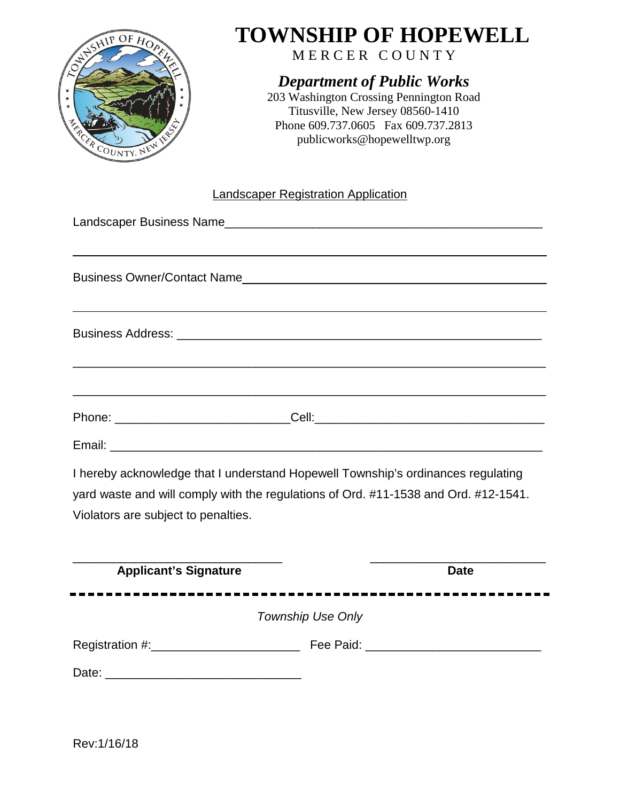

# **TOWNSHIP OF HOPEWELL**

MERCER COUNTY

### *Department of Public Works*

203 Washington Crossing Pennington Road Titusville, New Jersey 08560-1410 Phone 609.737.0605 Fax 609.737.2813 publicworks@hopewelltwp.org

#### Landscaper Registration Application

| ,我们也不会有什么。""我们的人,我们也不会有什么?""我们的人,我们也不会有什么?""我们的人,我们也不会有什么?""我们的人,我们也不会有什么?""我们的人 |
|----------------------------------------------------------------------------------|
| ,我们也不能在这里的时候,我们也不能在这里的时候,我们也不能在这里的时候,我们也不能会在这里,我们也不能会在这里的时候,我们也不能会在这里的时候,我们也不能会在 |

I hereby acknowledge that I understand Hopewell Township's ordinances regulating yard waste and will comply with the regulations of Ord. #11-1538 and Ord. #12-1541. Violators are subject to penalties.

| <b>Applicant's Signature</b> | <b>Date</b>              |  |
|------------------------------|--------------------------|--|
|                              | <b>Township Use Only</b> |  |
| Registration #:______        | Fee Paid:                |  |
| Date:                        |                          |  |